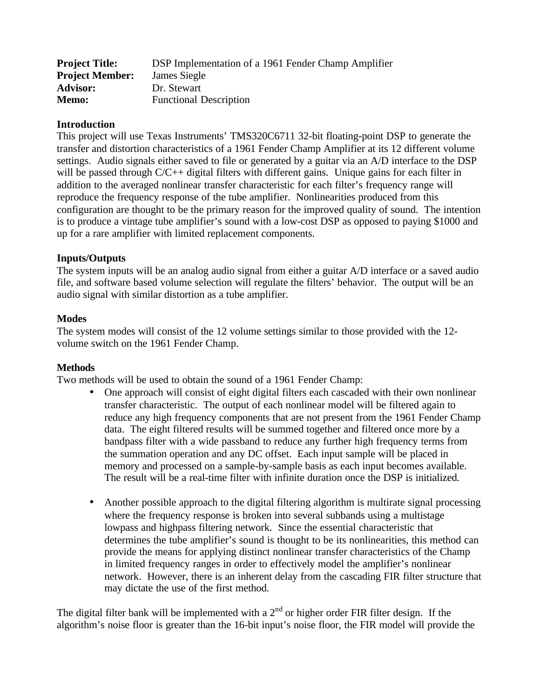| <b>Project Title:</b>  | DSP Implementation of a 1961 Fender Champ Amplifier |
|------------------------|-----------------------------------------------------|
| <b>Project Member:</b> | James Siegle                                        |
| <b>Advisor:</b>        | Dr. Stewart                                         |
| <b>Memo:</b>           | <b>Functional Description</b>                       |

## **Introduction**

This project will use Texas Instruments' TMS320C6711 32-bit floating-point DSP to generate the transfer and distortion characteristics of a 1961 Fender Champ Amplifier at its 12 different volume settings. Audio signals either saved to file or generated by a guitar via an A/D interface to the DSP will be passed through C/C++ digital filters with different gains. Unique gains for each filter in addition to the averaged nonlinear transfer characteristic for each filter's frequency range will reproduce the frequency response of the tube amplifier. Nonlinearities produced from this configuration are thought to be the primary reason for the improved quality of sound. The intention is to produce a vintage tube amplifier's sound with a low-cost DSP as opposed to paying \$1000 and up for a rare amplifier with limited replacement components.

# **Inputs/Outputs**

The system inputs will be an analog audio signal from either a guitar A/D interface or a saved audio file, and software based volume selection will regulate the filters' behavior. The output will be an audio signal with similar distortion as a tube amplifier.

# **Modes**

The system modes will consist of the 12 volume settings similar to those provided with the 12 volume switch on the 1961 Fender Champ.

## **Methods**

Two methods will be used to obtain the sound of a 1961 Fender Champ:

- One approach will consist of eight digital filters each cascaded with their own nonlinear transfer characteristic. The output of each nonlinear model will be filtered again to reduce any high frequency components that are not present from the 1961 Fender Champ data. The eight filtered results will be summed together and filtered once more by a bandpass filter with a wide passband to reduce any further high frequency terms from the summation operation and any DC offset. Each input sample will be placed in memory and processed on a sample-by-sample basis as each input becomes available. The result will be a real-time filter with infinite duration once the DSP is initialized.
- Another possible approach to the digital filtering algorithm is multirate signal processing where the frequency response is broken into several subbands using a multistage lowpass and highpass filtering network. Since the essential characteristic that determines the tube amplifier's sound is thought to be its nonlinearities, this method can provide the means for applying distinct nonlinear transfer characteristics of the Champ in limited frequency ranges in order to effectively model the amplifier's nonlinear network. However, there is an inherent delay from the cascading FIR filter structure that may dictate the use of the first method.

The digital filter bank will be implemented with a  $2<sup>nd</sup>$  or higher order FIR filter design. If the algorithm's noise floor is greater than the 16-bit input's noise floor, the FIR model will provide the